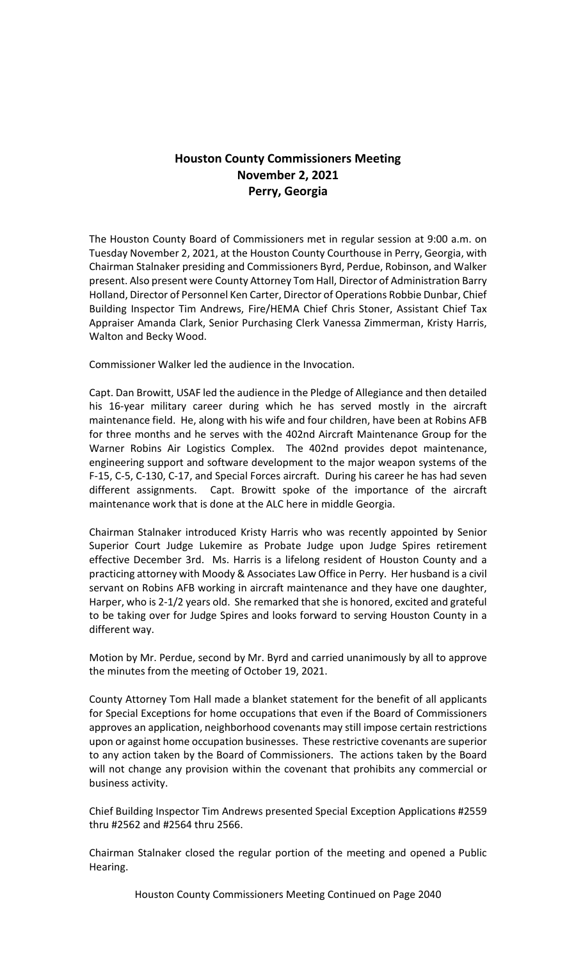# **Houston County Commissioners Meeting November 2, 2021 Perry, Georgia**

The Houston County Board of Commissioners met in regular session at 9:00 a.m. on Tuesday November 2, 2021, at the Houston County Courthouse in Perry, Georgia, with Chairman Stalnaker presiding and Commissioners Byrd, Perdue, Robinson, and Walker present. Also present were County Attorney Tom Hall, Director of Administration Barry Holland, Director of Personnel Ken Carter, Director of Operations Robbie Dunbar, Chief Building Inspector Tim Andrews, Fire/HEMA Chief Chris Stoner, Assistant Chief Tax Appraiser Amanda Clark, Senior Purchasing Clerk Vanessa Zimmerman, Kristy Harris, Walton and Becky Wood.

Commissioner Walker led the audience in the Invocation.

Capt. Dan Browitt, USAF led the audience in the Pledge of Allegiance and then detailed his 16-year military career during which he has served mostly in the aircraft maintenance field. He, along with his wife and four children, have been at Robins AFB for three months and he serves with the 402nd Aircraft Maintenance Group for the Warner Robins Air Logistics Complex. The 402nd provides depot maintenance, engineering support and software development to the major weapon systems of the F-15, C-5, C-130, C-17, and Special Forces aircraft. During his career he has had seven different assignments. Capt. Browitt spoke of the importance of the aircraft maintenance work that is done at the ALC here in middle Georgia.

Chairman Stalnaker introduced Kristy Harris who was recently appointed by Senior Superior Court Judge Lukemire as Probate Judge upon Judge Spires retirement effective December 3rd. Ms. Harris is a lifelong resident of Houston County and a practicing attorney with Moody & Associates Law Office in Perry. Her husband is a civil servant on Robins AFB working in aircraft maintenance and they have one daughter, Harper, who is 2-1/2 years old. She remarked that she is honored, excited and grateful to be taking over for Judge Spires and looks forward to serving Houston County in a different way.

Motion by Mr. Perdue, second by Mr. Byrd and carried unanimously by all to approve the minutes from the meeting of October 19, 2021.

County Attorney Tom Hall made a blanket statement for the benefit of all applicants for Special Exceptions for home occupations that even if the Board of Commissioners approves an application, neighborhood covenants may still impose certain restrictions upon or against home occupation businesses. These restrictive covenants are superior to any action taken by the Board of Commissioners. The actions taken by the Board will not change any provision within the covenant that prohibits any commercial or business activity.

Chief Building Inspector Tim Andrews presented Special Exception Applications #2559 thru #2562 and #2564 thru 2566.

Chairman Stalnaker closed the regular portion of the meeting and opened a Public Hearing.

Houston County Commissioners Meeting Continued on Page 2040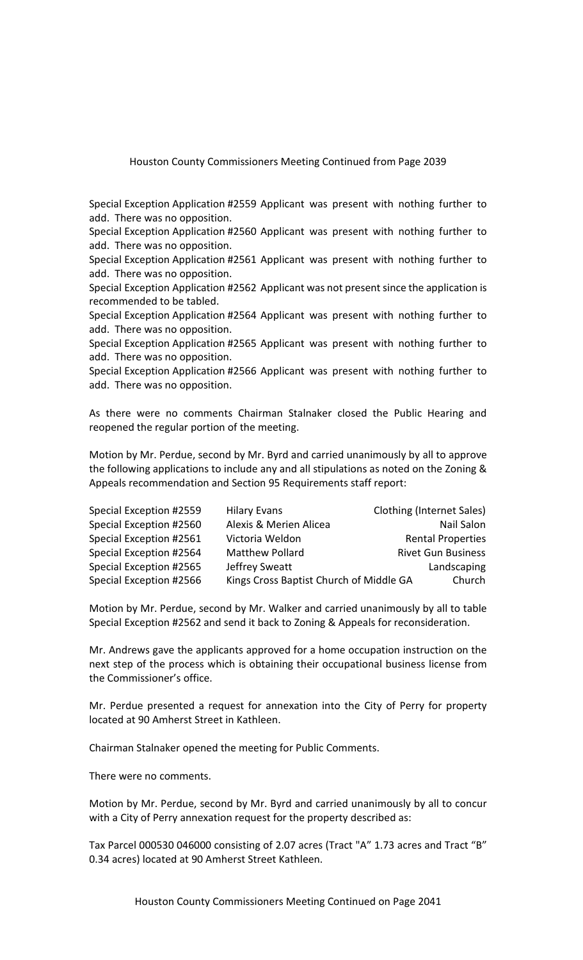Special Exception Application #2559 Applicant was present with nothing further to add. There was no opposition.

Special Exception Application #2560 Applicant was present with nothing further to add. There was no opposition.

Special Exception Application #2561 Applicant was present with nothing further to add. There was no opposition.

Special Exception Application #2562 Applicant was not present since the application is recommended to be tabled.

Special Exception Application #2564 Applicant was present with nothing further to add. There was no opposition.

Special Exception Application #2565 Applicant was present with nothing further to add. There was no opposition.

Special Exception Application #2566 Applicant was present with nothing further to add. There was no opposition.

As there were no comments Chairman Stalnaker closed the Public Hearing and reopened the regular portion of the meeting.

Motion by Mr. Perdue, second by Mr. Byrd and carried unanimously by all to approve the following applications to include any and all stipulations as noted on the Zoning & Appeals recommendation and Section 95 Requirements staff report:

| Special Exception #2559 | <b>Hilary Evans</b>                     | Clothing (Internet Sales) |
|-------------------------|-----------------------------------------|---------------------------|
| Special Exception #2560 | Alexis & Merien Alicea                  | Nail Salon                |
| Special Exception #2561 | Victoria Weldon                         | <b>Rental Properties</b>  |
| Special Exception #2564 | <b>Matthew Pollard</b>                  | <b>Rivet Gun Business</b> |
| Special Exception #2565 | Jeffrey Sweatt                          | Landscaping               |
| Special Exception #2566 | Kings Cross Baptist Church of Middle GA | Church                    |

Motion by Mr. Perdue, second by Mr. Walker and carried unanimously by all to table Special Exception #2562 and send it back to Zoning & Appeals for reconsideration.

Mr. Andrews gave the applicants approved for a home occupation instruction on the next step of the process which is obtaining their occupational business license from the Commissioner's office.

Mr. Perdue presented a request for annexation into the City of Perry for property located at 90 Amherst Street in Kathleen.

Chairman Stalnaker opened the meeting for Public Comments.

There were no comments.

Motion by Mr. Perdue, second by Mr. Byrd and carried unanimously by all to concur with a City of Perry annexation request for the property described as:

Tax Parcel 000530 046000 consisting of 2.07 acres (Tract "A" 1.73 acres and Tract "B" 0.34 acres) located at 90 Amherst Street Kathleen.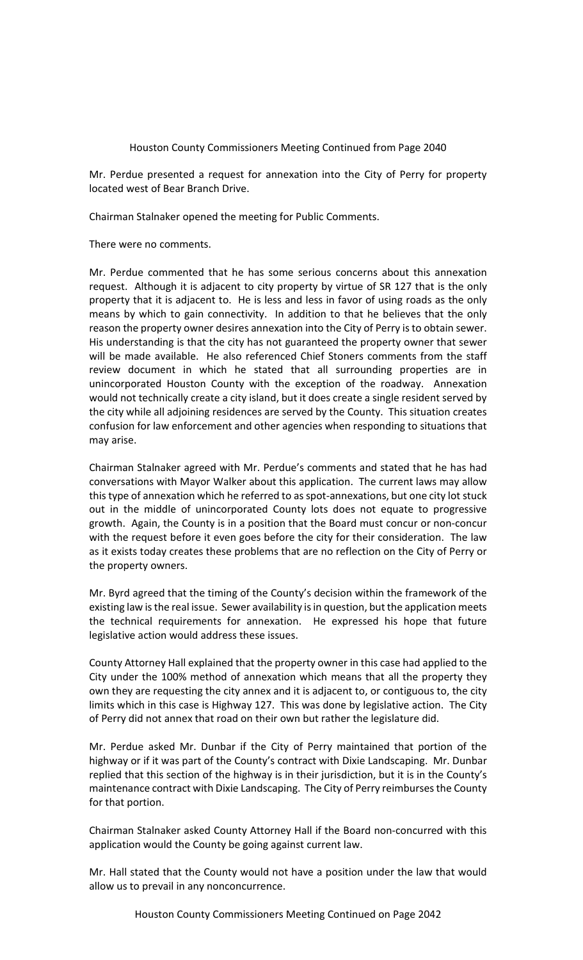Mr. Perdue presented a request for annexation into the City of Perry for property located west of Bear Branch Drive.

Chairman Stalnaker opened the meeting for Public Comments.

There were no comments.

Mr. Perdue commented that he has some serious concerns about this annexation request. Although it is adjacent to city property by virtue of SR 127 that is the only property that it is adjacent to. He is less and less in favor of using roads as the only means by which to gain connectivity. In addition to that he believes that the only reason the property owner desires annexation into the City of Perry is to obtain sewer. His understanding is that the city has not guaranteed the property owner that sewer will be made available. He also referenced Chief Stoners comments from the staff review document in which he stated that all surrounding properties are in unincorporated Houston County with the exception of the roadway. Annexation would not technically create a city island, but it does create a single resident served by the city while all adjoining residences are served by the County. This situation creates confusion for law enforcement and other agencies when responding to situations that may arise.

Chairman Stalnaker agreed with Mr. Perdue's comments and stated that he has had conversations with Mayor Walker about this application. The current laws may allow this type of annexation which he referred to as spot-annexations, but one city lot stuck out in the middle of unincorporated County lots does not equate to progressive growth. Again, the County is in a position that the Board must concur or non-concur with the request before it even goes before the city for their consideration. The law as it exists today creates these problems that are no reflection on the City of Perry or the property owners.

Mr. Byrd agreed that the timing of the County's decision within the framework of the existing law is the real issue. Sewer availability is in question, but the application meets the technical requirements for annexation. He expressed his hope that future legislative action would address these issues.

County Attorney Hall explained that the property owner in this case had applied to the City under the 100% method of annexation which means that all the property they own they are requesting the city annex and it is adjacent to, or contiguous to, the city limits which in this case is Highway 127. This was done by legislative action. The City of Perry did not annex that road on their own but rather the legislature did.

Mr. Perdue asked Mr. Dunbar if the City of Perry maintained that portion of the highway or if it was part of the County's contract with Dixie Landscaping. Mr. Dunbar replied that this section of the highway is in their jurisdiction, but it is in the County's maintenance contract with Dixie Landscaping. The City of Perry reimburses the County for that portion.

Chairman Stalnaker asked County Attorney Hall if the Board non-concurred with this application would the County be going against current law.

Mr. Hall stated that the County would not have a position under the law that would allow us to prevail in any nonconcurrence.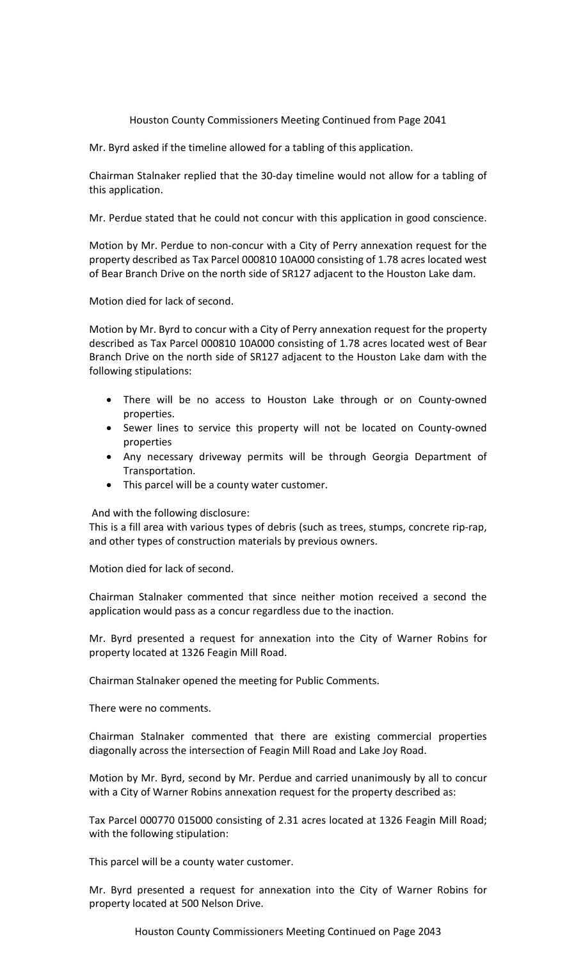Mr. Byrd asked if the timeline allowed for a tabling of this application.

Chairman Stalnaker replied that the 30-day timeline would not allow for a tabling of this application.

Mr. Perdue stated that he could not concur with this application in good conscience.

Motion by Mr. Perdue to non-concur with a City of Perry annexation request for the property described as Tax Parcel 000810 10A000 consisting of 1.78 acres located west of Bear Branch Drive on the north side of SR127 adjacent to the Houston Lake dam.

Motion died for lack of second.

Motion by Mr. Byrd to concur with a City of Perry annexation request for the property described as Tax Parcel 000810 10A000 consisting of 1.78 acres located west of Bear Branch Drive on the north side of SR127 adjacent to the Houston Lake dam with the following stipulations:

- There will be no access to Houston Lake through or on County-owned properties.
- Sewer lines to service this property will not be located on County-owned properties
- Any necessary driveway permits will be through Georgia Department of Transportation.
- This parcel will be a county water customer.

And with the following disclosure:

This is a fill area with various types of debris (such as trees, stumps, concrete rip-rap, and other types of construction materials by previous owners.

Motion died for lack of second.

Chairman Stalnaker commented that since neither motion received a second the application would pass as a concur regardless due to the inaction.

Mr. Byrd presented a request for annexation into the City of Warner Robins for property located at 1326 Feagin Mill Road.

Chairman Stalnaker opened the meeting for Public Comments.

There were no comments.

Chairman Stalnaker commented that there are existing commercial properties diagonally across the intersection of Feagin Mill Road and Lake Joy Road.

Motion by Mr. Byrd, second by Mr. Perdue and carried unanimously by all to concur with a City of Warner Robins annexation request for the property described as:

Tax Parcel 000770 015000 consisting of 2.31 acres located at 1326 Feagin Mill Road; with the following stipulation:

This parcel will be a county water customer.

Mr. Byrd presented a request for annexation into the City of Warner Robins for property located at 500 Nelson Drive.

Houston County Commissioners Meeting Continued on Page 2043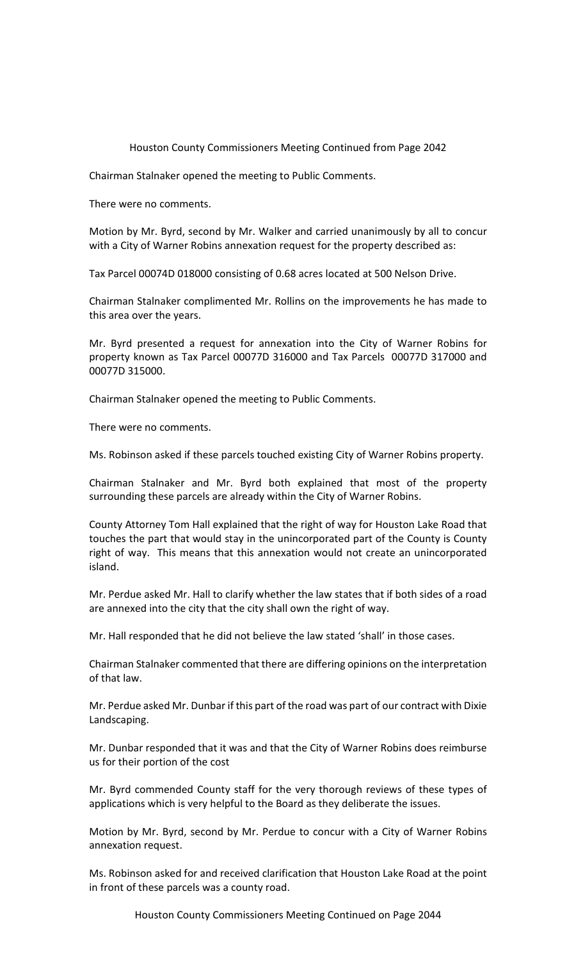Chairman Stalnaker opened the meeting to Public Comments.

There were no comments.

Motion by Mr. Byrd, second by Mr. Walker and carried unanimously by all to concur with a City of Warner Robins annexation request for the property described as:

Tax Parcel 00074D 018000 consisting of 0.68 acres located at 500 Nelson Drive.

Chairman Stalnaker complimented Mr. Rollins on the improvements he has made to this area over the years.

Mr. Byrd presented a request for annexation into the City of Warner Robins for property known as Tax Parcel 00077D 316000 and Tax Parcels 00077D 317000 and 00077D 315000.

Chairman Stalnaker opened the meeting to Public Comments.

There were no comments.

Ms. Robinson asked if these parcels touched existing City of Warner Robins property.

Chairman Stalnaker and Mr. Byrd both explained that most of the property surrounding these parcels are already within the City of Warner Robins.

County Attorney Tom Hall explained that the right of way for Houston Lake Road that touches the part that would stay in the unincorporated part of the County is County right of way. This means that this annexation would not create an unincorporated island.

Mr. Perdue asked Mr. Hall to clarify whether the law states that if both sides of a road are annexed into the city that the city shall own the right of way.

Mr. Hall responded that he did not believe the law stated 'shall' in those cases.

Chairman Stalnaker commented that there are differing opinions on the interpretation of that law.

Mr. Perdue asked Mr. Dunbar if this part of the road was part of our contract with Dixie Landscaping.

Mr. Dunbar responded that it was and that the City of Warner Robins does reimburse us for their portion of the cost

Mr. Byrd commended County staff for the very thorough reviews of these types of applications which is very helpful to the Board as they deliberate the issues.

Motion by Mr. Byrd, second by Mr. Perdue to concur with a City of Warner Robins annexation request.

Ms. Robinson asked for and received clarification that Houston Lake Road at the point in front of these parcels was a county road.

Houston County Commissioners Meeting Continued on Page 2044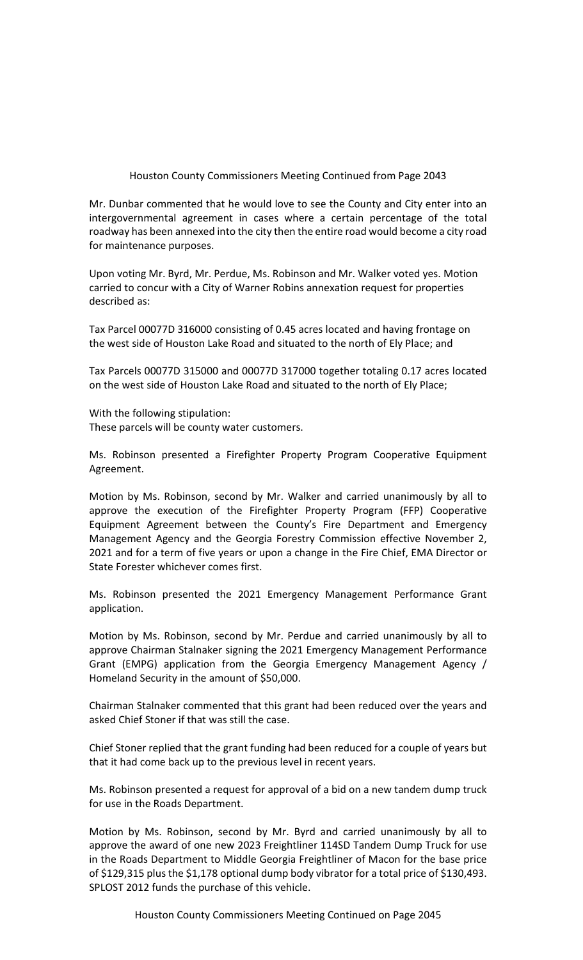Mr. Dunbar commented that he would love to see the County and City enter into an intergovernmental agreement in cases where a certain percentage of the total roadway has been annexed into the city then the entire road would become a city road for maintenance purposes.

Upon voting Mr. Byrd, Mr. Perdue, Ms. Robinson and Mr. Walker voted yes. Motion carried to concur with a City of Warner Robins annexation request for properties described as:

Tax Parcel 00077D 316000 consisting of 0.45 acres located and having frontage on the west side of Houston Lake Road and situated to the north of Ely Place; and

Tax Parcels 00077D 315000 and 00077D 317000 together totaling 0.17 acres located on the west side of Houston Lake Road and situated to the north of Ely Place;

With the following stipulation: These parcels will be county water customers.

Ms. Robinson presented a Firefighter Property Program Cooperative Equipment Agreement.

Motion by Ms. Robinson, second by Mr. Walker and carried unanimously by all to approve the execution of the Firefighter Property Program (FFP) Cooperative Equipment Agreement between the County's Fire Department and Emergency Management Agency and the Georgia Forestry Commission effective November 2, 2021 and for a term of five years or upon a change in the Fire Chief, EMA Director or State Forester whichever comes first.

Ms. Robinson presented the 2021 Emergency Management Performance Grant application.

Motion by Ms. Robinson, second by Mr. Perdue and carried unanimously by all to approve Chairman Stalnaker signing the 2021 Emergency Management Performance Grant (EMPG) application from the Georgia Emergency Management Agency / Homeland Security in the amount of \$50,000.

Chairman Stalnaker commented that this grant had been reduced over the years and asked Chief Stoner if that was still the case.

Chief Stoner replied that the grant funding had been reduced for a couple of years but that it had come back up to the previous level in recent years.

Ms. Robinson presented a request for approval of a bid on a new tandem dump truck for use in the Roads Department.

Motion by Ms. Robinson, second by Mr. Byrd and carried unanimously by all to approve the award of one new 2023 Freightliner 114SD Tandem Dump Truck for use in the Roads Department to Middle Georgia Freightliner of Macon for the base price of \$129,315 plus the \$1,178 optional dump body vibrator for a total price of \$130,493. SPLOST 2012 funds the purchase of this vehicle.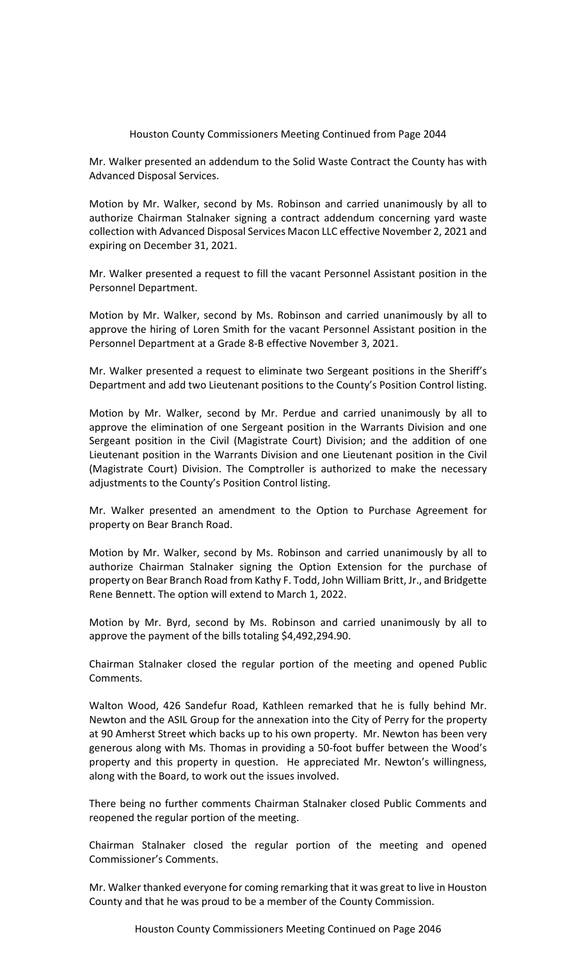Mr. Walker presented an addendum to the Solid Waste Contract the County has with Advanced Disposal Services.

Motion by Mr. Walker, second by Ms. Robinson and carried unanimously by all to authorize Chairman Stalnaker signing a contract addendum concerning yard waste collection with Advanced Disposal Services Macon LLC effective November 2, 2021 and expiring on December 31, 2021.

Mr. Walker presented a request to fill the vacant Personnel Assistant position in the Personnel Department.

Motion by Mr. Walker, second by Ms. Robinson and carried unanimously by all to approve the hiring of Loren Smith for the vacant Personnel Assistant position in the Personnel Department at a Grade 8-B effective November 3, 2021.

Mr. Walker presented a request to eliminate two Sergeant positions in the Sheriff's Department and add two Lieutenant positions to the County's Position Control listing.

Motion by Mr. Walker, second by Mr. Perdue and carried unanimously by all to approve the elimination of one Sergeant position in the Warrants Division and one Sergeant position in the Civil (Magistrate Court) Division; and the addition of one Lieutenant position in the Warrants Division and one Lieutenant position in the Civil (Magistrate Court) Division. The Comptroller is authorized to make the necessary adjustments to the County's Position Control listing.

Mr. Walker presented an amendment to the Option to Purchase Agreement for property on Bear Branch Road.

Motion by Mr. Walker, second by Ms. Robinson and carried unanimously by all to authorize Chairman Stalnaker signing the Option Extension for the purchase of property on Bear Branch Road from Kathy F. Todd, John William Britt, Jr., and Bridgette Rene Bennett. The option will extend to March 1, 2022.

Motion by Mr. Byrd, second by Ms. Robinson and carried unanimously by all to approve the payment of the bills totaling \$4,492,294.90.

Chairman Stalnaker closed the regular portion of the meeting and opened Public Comments.

Walton Wood, 426 Sandefur Road, Kathleen remarked that he is fully behind Mr. Newton and the ASIL Group for the annexation into the City of Perry for the property at 90 Amherst Street which backs up to his own property. Mr. Newton has been very generous along with Ms. Thomas in providing a 50-foot buffer between the Wood's property and this property in question. He appreciated Mr. Newton's willingness, along with the Board, to work out the issues involved.

There being no further comments Chairman Stalnaker closed Public Comments and reopened the regular portion of the meeting.

Chairman Stalnaker closed the regular portion of the meeting and opened Commissioner's Comments.

Mr. Walker thanked everyone for coming remarking that it was great to live in Houston County and that he was proud to be a member of the County Commission.